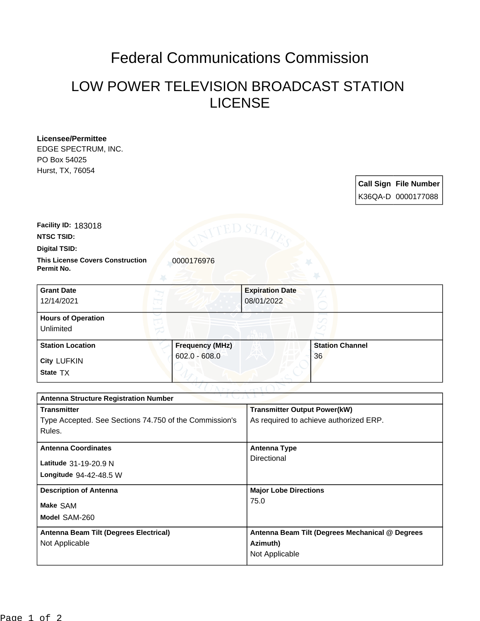## Federal Communications Commission

## LOW POWER TELEVISION BROADCAST STATION LICENSE

**Licensee/Permittee** EDGE SPECTRUM, INC. PO Box 54025

Hurst, TX, 76054

**Call Sign File Number** K36QA-D 0000177088

**Facility ID:** 183018

**NTSC TSID:**

**Digital TSID:**

**This License Covers Construction**  0000176976 **Permit No.**

| <b>Grant Date</b><br>12/14/2021        |                        | <b>Expiration Date</b><br>08/01/2022 |                        |  |
|----------------------------------------|------------------------|--------------------------------------|------------------------|--|
| <b>Hours of Operation</b><br>Unlimited |                        |                                      |                        |  |
| <b>Station Location</b>                | <b>Frequency (MHz)</b> |                                      | <b>Station Channel</b> |  |
| <b>City LUFKIN</b><br>State TX         | $602.0 - 608.0$        |                                      | 36                     |  |

| $\gamma$ v j ( , $\land$ ), $\rightarrow$<br><b>Antenna Structure Registration Number</b> |                                                 |  |  |  |
|-------------------------------------------------------------------------------------------|-------------------------------------------------|--|--|--|
| <b>Transmitter</b>                                                                        | <b>Transmitter Output Power(kW)</b>             |  |  |  |
| Type Accepted. See Sections 74.750 of the Commission's                                    | As required to achieve authorized ERP.          |  |  |  |
| Rules.                                                                                    |                                                 |  |  |  |
| <b>Antenna Coordinates</b>                                                                | <b>Antenna Type</b>                             |  |  |  |
| Latitude 31-19-20.9 N                                                                     | Directional                                     |  |  |  |
| Longitude $94-42-48.5$ W                                                                  |                                                 |  |  |  |
| <b>Description of Antenna</b>                                                             | <b>Major Lobe Directions</b>                    |  |  |  |
| Make SAM                                                                                  | 75.0                                            |  |  |  |
| Model SAM-260                                                                             |                                                 |  |  |  |
| Antenna Beam Tilt (Degrees Electrical)                                                    | Antenna Beam Tilt (Degrees Mechanical @ Degrees |  |  |  |
| Not Applicable                                                                            | Azimuth)                                        |  |  |  |
|                                                                                           | Not Applicable                                  |  |  |  |